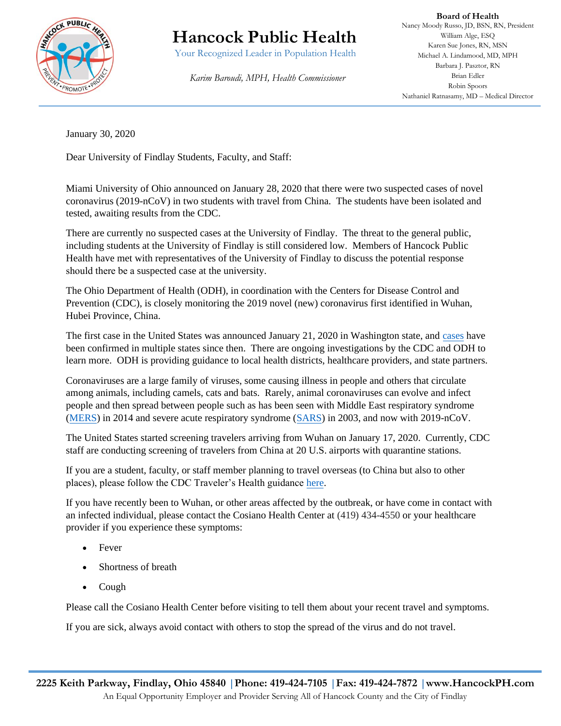

## **Hancock Public Health**

Your Recognized Leader in Population Health

 *Karim Baroudi, MPH, Health Commissioner*

**Board of Health** Nancy Moody Russo, JD, BSN, RN, President William Alge, ESQ Karen Sue Jones, RN, MSN Michael A. Lindamood, MD, MPH Barbara J. Pasztor, RN Brian Edler Robin Spoors Nathaniel Ratnasamy, MD – Medical Director

January 30, 2020

Dear University of Findlay Students, Faculty, and Staff:

Miami University of Ohio announced on January 28, 2020 that there were two suspected cases of novel coronavirus (2019-nCoV) in two students with travel from China. The students have been isolated and tested, awaiting results from the CDC.

There are currently no suspected cases at the University of Findlay. The threat to the general public, including students at the University of Findlay is still considered low. Members of Hancock Public Health have met with representatives of the University of Findlay to discuss the potential response should there be a suspected case at the university.

The Ohio Department of Health (ODH), in coordination with the Centers for Disease Control and Prevention (CDC), is closely monitoring the 2019 novel (new) coronavirus first identified in Wuhan, Hubei Province, China.

The first case in the United States was announced January 21, 2020 in Washington state, an[d cases](https://www.cdc.gov/coronavirus/2019-ncov/cases-in-us.html) have been confirmed in multiple states since then. There are ongoing investigations by the CDC and ODH to learn more. ODH is providing guidance to local health districts, healthcare providers, and state partners.

Coronaviruses are a large family of viruses, some causing illness in people and others that circulate among animals, including camels, cats and bats. Rarely, animal coronaviruses can evolve and infect people and then spread between people such as has been seen with Middle East respiratory syndrome [\(MERS\)](https://odh.ohio.gov/wps/portal/gov/odh/media-center/feature-stories/2019-Novel-Coronavirus9/!ut/p/z1/jVDBbsIwDP0WDjm2cYEyulvENNiAVoyidblMQUubTqWOkrST9vXL4DIkNuabn5-f3zPltKC8FX1dCVdjKxrfv_DJa5rMWRQtIYW77Rg2WX4TpYsse9qM6PM5YZrHzBMmu_nyfvuQj2PK_7MPvxSDa_uP1wg-wdCsZ-uKci2cCuq2RFqUUrjOyMA6NLW0tBhClAQp9rIJZmjw-wmms4n3x88vXEh4JPwRwXusGtyf3sna_WjqzRhZSiNN2BkPK-e0vSVAAN9UiKrGsMKewIe2BDQaJxoCR8TPCSg8yEtaCq2jxU8Jqg-74nO1gPe46VdsMPgCDNXdTg!!/?1dmy&urile=wcm%3apath%3a%2Fohio%2Bcontent%2Benglish%2Fodh%2Fknow-our-programs%2Finfectious-diseases%2Fresources%2Fmers) in 2014 and severe acute respiratory syndrome [\(SARS\)](https://odh.ohio.gov/wps/portal/gov/odh/media-center/feature-stories/2019-Novel-Coronavirus9/!ut/p/z1/jVDBbsIwDP0WDjm2cYEyulvENNiAVoyidblMQUubTqWOkrST9vXL4DIkNuabn5-f3zPltKC8FX1dCVdjKxrfv_DJa5rMWRQtIYW77Rg2WX4TpYsse9qM6PM5YZrHzBMmu_nyfvuQj2PK_7MPvxSDa_uP1wg-wdCsZ-uKci2cCuq2RFqUUrjOyMA6NLW0tBhClAQp9rIJZmjw-wmms4n3x88vXEh4JPwRwXusGtyf3sna_WjqzRhZSiNN2BkPK-e0vSVAAN9UiKrGsMKewIe2BDQaJxoCR8TPCSg8yEtaCq2jxU8Jqg-74nO1gPe46VdsMPgCDNXdTg!!/?1dmy&urile=wcm%3apath%3a%2Fohio%2Bcontent%2Benglish%2Fodh%2Fknow-our-programs%2Finfectious-diseases%2Fresources%2Fsars) in 2003, and now with 2019-nCoV.

The United States started screening travelers arriving from Wuhan on January 17, 2020. Currently, CDC staff are conducting screening of travelers from China at 20 U.S. airports with quarantine stations.

If you are a student, faculty, or staff member planning to travel overseas (to China but also to other places), please follow the CDC Traveler's Health guidance [here.](https://wwwnc.cdc.gov/travel)

If you have recently been to Wuhan, or other areas affected by the outbreak, or have come in contact with an infected individual, please contact the Cosiano Health Center at (419) 434-4550 or your healthcare provider if you experience these symptoms:

- Fever
- Shortness of breath
- Cough

Please call the Cosiano Health Center before visiting to tell them about your recent travel and symptoms.

If you are sick, always avoid contact with others to stop the spread of the virus and do not travel.